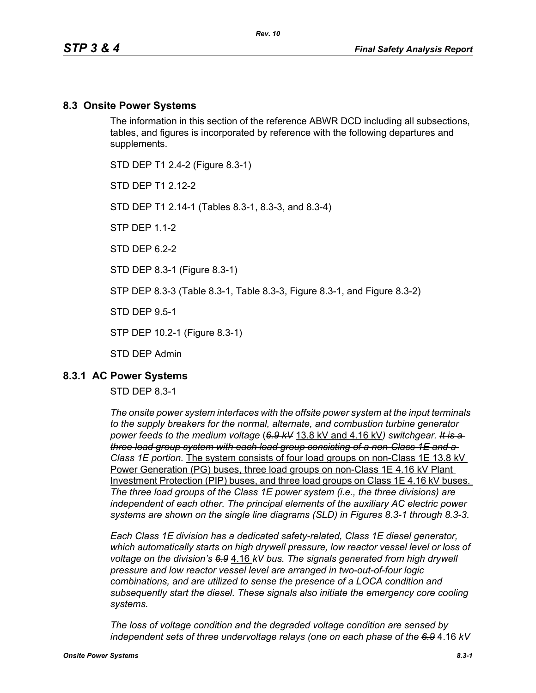#### **8.3 Onsite Power Systems**

The information in this section of the reference ABWR DCD including all subsections, tables, and figures is incorporated by reference with the following departures and supplements.

STD DEP T1 2.4-2 (Figure 8.3-1)

STD DFP T1 2 12-2

STD DEP T1 2.14-1 (Tables 8.3-1, 8.3-3, and 8.3-4)

STP DEP 1.1-2

STD DFP 62-2

STD DEP 8.3-1 (Figure 8.3-1)

STP DEP 8.3-3 (Table 8.3-1, Table 8.3-3, Figure 8.3-1, and Figure 8.3-2)

STD DEP 9.5-1

STP DEP 10.2-1 (Figure 8.3-1)

STD DEP Admin

#### **8.3.1 AC Power Systems**

#### STD DEP 8.3-1

*The onsite power system interfaces with the offsite power system at the input terminals to the supply breakers for the normal, alternate, and combustion turbine generator power feeds to the medium voltage* (*6.9 kV* 13.8 kV and 4.16 kV*) switchgear. It is a three load group system with each load group consisting of a non-Class 1E and a Class 1E portion.* The system consists of four load groups on non-Class 1E 13.8 kV Power Generation (PG) buses, three load groups on non-Class 1E 4.16 kV Plant Investment Protection (PIP) buses, and three load groups on Class 1E 4.16 kV buses. *The three load groups of the Class 1E power system (i.e., the three divisions) are independent of each other. The principal elements of the auxiliary AC electric power systems are shown on the single line diagrams (SLD) in Figures 8.3-1 through 8.3-3.*

*Each Class 1E division has a dedicated safety-related, Class 1E diesel generator, which automatically starts on high drywell pressure, low reactor vessel level or loss of voltage on the division's 6.9* 4.16 *kV bus. The signals generated from high drywell pressure and low reactor vessel level are arranged in two-out-of-four logic combinations, and are utilized to sense the presence of a LOCA condition and subsequently start the diesel. These signals also initiate the emergency core cooling systems.*

*The loss of voltage condition and the degraded voltage condition are sensed by independent sets of three undervoltage relays (one on each phase of the 6.9* 4.16 *kV*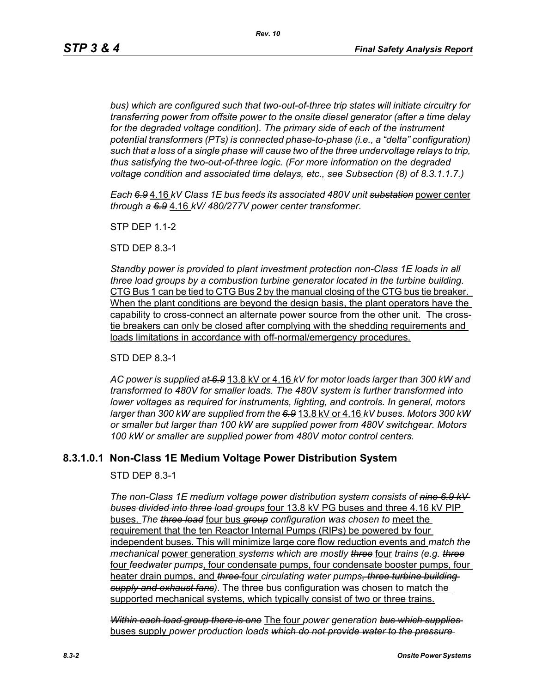*bus) which are configured such that two-out-of-three trip states will initiate circuitry for transferring power from offsite power to the onsite diesel generator (after a time delay*  for the degraded voltage condition). The primary side of each of the instrument *potential transformers (PTs) is connected phase-to-phase (i.e., a "delta" configuration) such that a loss of a single phase will cause two of the three undervoltage relays to trip, thus satisfying the two-out-of-three logic. (For more information on the degraded voltage condition and associated time delays, etc., see Subsection (8) of 8.3.1.1.7.)*

*Each 6.9* 4.16 *kV Class 1E bus feeds its associated 480V unit substation* power center *through a 6.9* 4.16 *kV/ 480/277V power center transformer.*

STP DEP 1.1-2

STD DEP 8.3-1

*Standby power is provided to plant investment protection non-Class 1E loads in all three load groups by a combustion turbine generator located in the turbine building.* CTG Bus 1 can be tied to CTG Bus 2 by the manual closing of the CTG bus tie breaker. When the plant conditions are beyond the design basis, the plant operators have the capability to cross-connect an alternate power source from the other unit. The crosstie breakers can only be closed after complying with the shedding requirements and loads limitations in accordance with off-normal/emergency procedures.

STD DEP 8.3-1

*AC power is supplied at 6.9* 13.8 kV or 4.16 *kV for motor loads larger than 300 kW and transformed to 480V for smaller loads. The 480V system is further transformed into lower voltages as required for instruments, lighting, and controls. In general, motors larger than 300 kW are supplied from the 6.9* 13.8 kV or 4.16 *kV buses. Motors 300 kW or smaller but larger than 100 kW are supplied power from 480V switchgear. Motors 100 kW or smaller are supplied power from 480V motor control centers.*

## **8.3.1.0.1 Non-Class 1E Medium Voltage Power Distribution System**

STD DEP 8.3-1

*The non-Class 1E medium voltage power distribution system consists of nine 6.9 kV buses divided into three load groups* four 13.8 kV PG buses and three 4.16 kV PIP buses. *The three load* four bus *group configuration was chosen to* meet the requirement that the ten Reactor Internal Pumps (RIPs) be powered by four independent buses. This will minimize large core flow reduction events and *match the mechanical* power generation *systems which are mostly three* four *trains (e.g. three* four *feedwater pumps*, four condensate pumps, four condensate booster pumps, four heater drain pumps, and *three* four *circulating water pumps, three turbine building supply and exhaust fans)*. The three bus configuration was chosen to match the supported mechanical systems, which typically consist of two or three trains.

*Within each load group there is one* The four *power generation bus which supplies*  buses supply *power production loads which do not provide water to the pressure*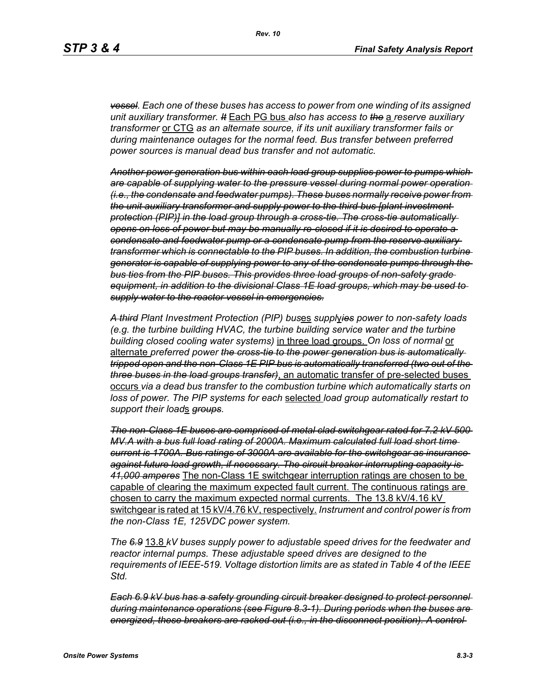*vessel. Each one of these buses has access to power from one winding of its assigned unit auxiliary transformer. It* Each PG bus *also has access to the* a *reserve auxiliary transformer* or CTG *as an alternate source, if its unit auxiliary transformer fails or during maintenance outages for the normal feed. Bus transfer between preferred power sources is manual dead bus transfer and not automatic.*

*Another power generation bus within each load group supplies power to pumps which are capable of supplying water to the pressure vessel during normal power operation (i.e., the condensate and feedwater pumps). These buses normally receive power from the unit auxiliary transformer and supply power to the third bus [plant investment protection (PIP)] in the load group through a cross-tie. The cross-tie automatically opens on loss of power but may be manually re-closed if it is desired to operate a condensate and feedwater pump or a condensate pump from the reserve auxiliary transformer which is connectable to the PIP buses. In addition, the combustion turbine generator is capable of supplying power to any of the condensate pumps through the bus ties from the PIP buses. This provides three load groups of non-safety grade equipment, in addition to the divisional Class 1E load groups, which may be used to supply water to the reactor vessel in emergencies.*

*A third Plant Investment Protection (PIP) bus*es *suppl*y*ies power to non-safety loads (e.g. the turbine building HVAC, the turbine building service water and the turbine building closed cooling water systems)* in three load groups. *On loss of normal* or alternate *preferred power the cross-tie to the power generation bus is automatically tripped open and the non-Class 1E PIP bus is automatically transferred (two out of the three buses in the load groups transfer)*, an automatic transfer of pre-selected buses occurs *via a dead bus transfer to the combustion turbine which automatically starts on loss of power. The PIP systems for each* selected *load group automatically restart to support their load*s *groups.*

*The non-Class 1E buses are comprised of metal clad switchgear rated for 7.2 kV 500 MV.A with a bus full load rating of 2000A. Maximum calculated full load short time current is 1700A. Bus ratings of 3000A are available for the switchgear as insurance against future load growth, if necessary. The circuit breaker interrupting capacity is 41,000 amperes* The non-Class 1E switchgear interruption ratings are chosen to be capable of clearing the maximum expected fault current. The continuous ratings are chosen to carry the maximum expected normal currents. The 13.8 kV/4.16 kV switchgear is rated at 15 kV/4.76 kV, respectively. *Instrument and control power is from the non-Class 1E, 125VDC power system.*

*The 6.9* 13.8 *kV buses supply power to adjustable speed drives for the feedwater and reactor internal pumps. These adjustable speed drives are designed to the requirements of IEEE-519. Voltage distortion limits are as stated in Table 4 of the IEEE Std.*

*Each 6.9 kV bus has a safety grounding circuit breaker designed to protect personnel during maintenance operations (see Figure 8.3-1). During periods when the buses are energized, these breakers are racked out (i.e., in the disconnect position). A control*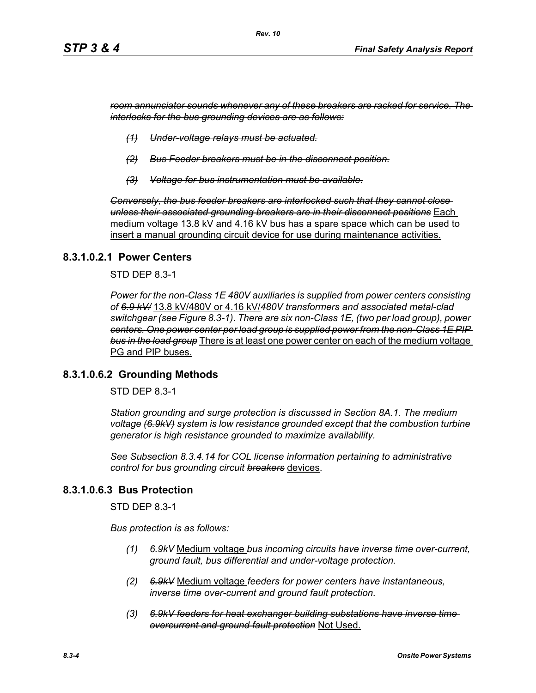*room annunciator sounds whenever any of these breakers are racked for service. The interlocks for the bus grounding devices are as follows:*

- *(1) Under-voltage relays must be actuated.*
- *(2) Bus Feeder breakers must be in the disconnect position.*
- *(3) Voltage for bus instrumentation must be available.*

*Conversely, the bus feeder breakers are interlocked such that they cannot close unless their associated grounding breakers are in their disconnect positions* Each medium voltage 13.8 kV and 4.16 kV bus has a spare space which can be used to insert a manual grounding circuit device for use during maintenance activities.

#### **8.3.1.0.2.1 Power Centers**

STD DEP 8.3-1

*Power for the non-Class 1E 480V auxiliaries is supplied from power centers consisting of 6.9 kV/* 13.8 kV/480V or 4.16 kV/*480V transformers and associated metal-clad switchgear (see Figure 8.3-1). There are six non-Class 1E, (two per load group), power centers. One power center per load group is supplied power from the non-Class 1E PIP bus in the load group* There is at least one power center on each of the medium voltage PG and PIP buses.

#### **8.3.1.0.6.2 Grounding Methods**

STD DEP 8.3-1

*Station grounding and surge protection is discussed in Section 8A.1. The medium voltage (6.9kV) system is low resistance grounded except that the combustion turbine generator is high resistance grounded to maximize availability.*

*See Subsection 8.3.4.14 for COL license information pertaining to administrative control for bus grounding circuit breakers* devices.

#### **8.3.1.0.6.3 Bus Protection**

STD DEP 8.3-1

*Bus protection is as follows:*

- *(1) 6.9kV* Medium voltage *bus incoming circuits have inverse time over-current, ground fault, bus differential and under-voltage protection.*
- *(2) 6.9kV* Medium voltage *feeders for power centers have instantaneous, inverse time over-current and ground fault protection.*
- *(3) 6.9kV feeders for heat exchanger building substations have inverse time overcurrent and ground fault protection* Not Used.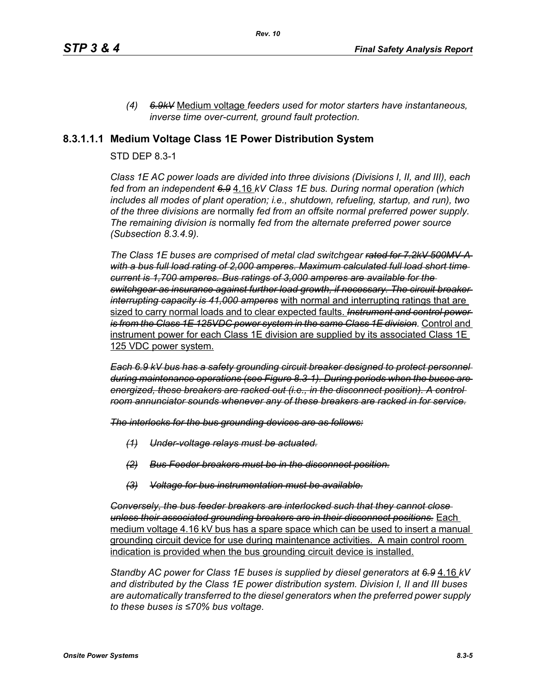*(4) 6.9kV* Medium voltage *feeders used for motor starters have instantaneous, inverse time over-current, ground fault protection.*

### **8.3.1.1.1 Medium Voltage Class 1E Power Distribution System**

#### STD DEP 8.3-1

*Class 1E AC power loads are divided into three divisions (Divisions I, II, and III), each fed from an independent 6.9* 4.16 *kV Class 1E bus. During normal operation (which includes all modes of plant operation; i.e., shutdown, refueling, startup, and run), two of the three divisions are* normally *fed from an offsite normal preferred power supply. The remaining division is* normally *fed from the alternate preferred power source (Subsection 8.3.4.9).*

*The Class 1E buses are comprised of metal clad switchgear rated for 7.2kV 500MV-A with a bus full load rating of 2,000 amperes. Maximum calculated full load short time current is 1,700 amperes. Bus ratings of 3,000 amperes are available for the switchgear as insurance against further load growth, if necessary. The circuit breaker interrupting capacity is 41,000 amperes* with normal and interrupting ratings that are sized to carry normal loads and to clear expected faults. *Instrument and control power is from the Class 1E 125VDC power system in the same Class 1E division.* Control and instrument power for each Class 1E division are supplied by its associated Class 1E 125 VDC power system.

*Each 6.9 kV bus has a safety grounding circuit breaker designed to protect personnel during maintenance operations (see Figure 8.3-1). During periods when the buses are energized, these breakers are racked out (i.e., in the disconnect position). A control room annunciator sounds whenever any of these breakers are racked in for service.*

*The interlocks for the bus grounding devices are as follows:*

- *(1) Under-voltage relays must be actuated.*
- *(2) Bus Feeder breakers must be in the disconnect position.*
- *(3) Voltage for bus instrumentation must be available.*

*Conversely, the bus feeder breakers are interlocked such that they cannot close unless their associated grounding breakers are in their disconnect positions.* Each medium voltage 4.16 kV bus has a spare space which can be used to insert a manual grounding circuit device for use during maintenance activities. A main control room indication is provided when the bus grounding circuit device is installed.

*Standby AC power for Class 1E buses is supplied by diesel generators at 6.9* 4.16 *kV and distributed by the Class 1E power distribution system. Division I, II and III buses are automatically transferred to the diesel generators when the preferred power supply to these buses is ≤70% bus voltage.*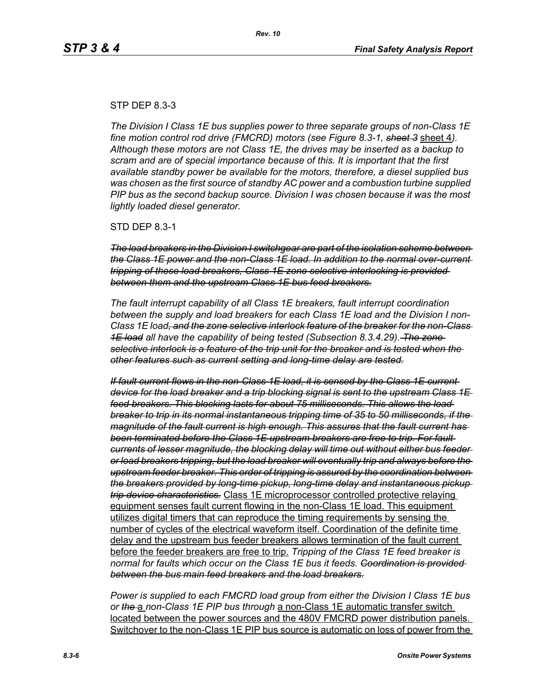#### STP DEP 8.3-3

*The Division I Class 1E bus supplies power to three separate groups of non-Class 1E fine motion control rod drive (FMCRD) motors (see Figure 8.3-1, sheet 3* sheet 4*). Although these motors are not Class 1E, the drives may be inserted as a backup to scram and are of special importance because of this. It is important that the first available standby power be available for the motors, therefore, a diesel supplied bus was chosen as the first source of standby AC power and a combustion turbine supplied PIP bus as the second backup source. Division I was chosen because it was the most lightly loaded diesel generator.*

STD DEP 8.3-1

*The load breakers in the Division I switchgear are part of the isolation scheme between the Class 1E power and the non-Class 1E load. In addition to the normal over-current tripping of these load breakers, Class 1E zone selective interlocking is provided between them and the upstream Class 1E bus feed breakers.*

*The fault interrupt capability of all Class 1E breakers, fault interrupt coordination between the supply and load breakers for each Class 1E load and the Division I non-Class 1E load, and the zone selective interlock feature of the breaker for the non-Class 1E load all have the capability of being tested (Subsection 8.3.4.29). The zone selective interlock is a feature of the trip unit for the breaker and is tested when the other features such as current setting and long-time delay are tested.*

*If fault current flows in the non-Class 1E load, it is sensed by the Class 1E current device for the load breaker and a trip blocking signal is sent to the upstream Class 1E feed breakers. This blocking lasts for about 75 milliseconds. This allows the load breaker to trip in its normal instantaneous tripping time of 35 to 50 milliseconds, if the magnitude of the fault current is high enough. This assures that the fault current has been terminated before the Class 1E upstream breakers are free to trip. For fault currents of lesser magnitude, the blocking delay will time out without either bus feeder or load breakers tripping, but the load breaker will eventually trip and always before the upstream feeder breaker. This order of tripping is assured by the coordination between the breakers provided by long-time pickup, long-time delay and instantaneous pickup trip device characteristics.* Class 1E microprocessor controlled protective relaying equipment senses fault current flowing in the non-Class 1E load. This equipment utilizes digital timers that can reproduce the timing requirements by sensing the number of cycles of the electrical waveform itself. Coordination of the definite time delay and the upstream bus feeder breakers allows termination of the fault current before the feeder breakers are free to trip. *Tripping of the Class 1E feed breaker is normal for faults which occur on the Class 1E bus it feeds. Coordination is provided between the bus main feed breakers and the load breakers.*

*Power is supplied to each FMCRD load group from either the Division I Class 1E bus or the* a *non-Class 1E PIP bus through* a non-Class 1E automatic transfer switch located between the power sources and the 480V FMCRD power distribution panels. Switchover to the non-Class 1E PIP bus source is automatic on loss of power from the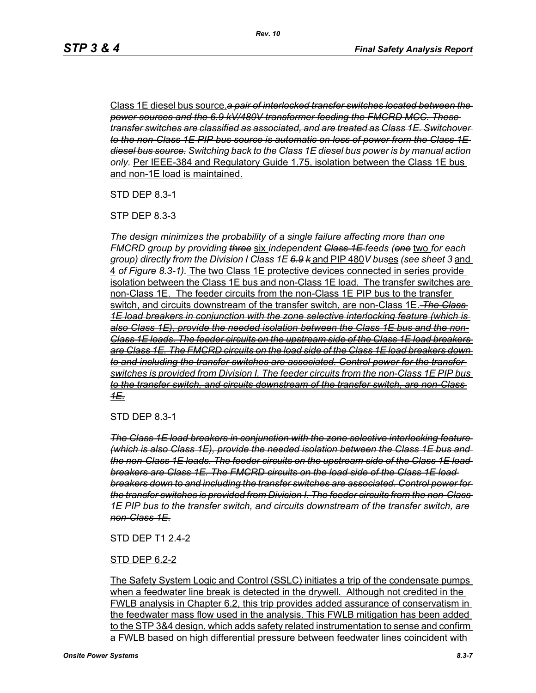Class 1E diesel bus source.*a pair of interlocked transfer switches located between the power sources and the 6.9 kV/480V transformer feeding the FMCRD MCC. These transfer switches are classified as associated, and are treated as Class 1E. Switchover to the non-Class 1E PIP bus source is automatic on loss of power from the Class 1E diesel bus source. Switching back to the Class 1E diesel bus power is by manual action only.* Per IEEE-384 and Regulatory Guide 1.75, isolation between the Class 1E bus and non-1E load is maintained.

STD DEP 8.3-1

STP DEP 8.3-3

*The design minimizes the probability of a single failure affecting more than one FMCRD group by providing three* six *independent Class 1E feeds (one* two *for each group) directly from the Division I Class 1E 6.9 k* and PIP 480*V bus*es *(see sheet 3* and 4 *of Figure 8.3-1).* The two Class 1E protective devices connected in series provide isolation between the Class 1E bus and non-Class 1E load. The transfer switches are non-Class 1E. The feeder circuits from the non-Class 1E PIP bus to the transfer switch, and circuits downstream of the transfer switch, are non-Class 1E. *The Class 1E load breakers in conjunction with the zone selective interlocking feature (which is also Class 1E), provide the needed isolation between the Class 1E bus and the non-Class 1E loads. The feeder circuits on the upstream side of the Class 1E load breakers are Class 1E. The FMCRD circuits on the load side of the Class 1E load breakers down to and including the transfer switches are associated. Control power for the transfer switches is provided from Division I. The feeder circuits from the non-Class 1E PIP bus to the transfer switch, and circuits downstream of the transfer switch, are non-Class 1E.*

STD DEP 8.3-1

*The Class 1E load breakers in conjunction with the zone selective interlocking feature (which is also Class 1E), provide the needed isolation between the Class 1E bus and the non-Class 1E loads. The feeder circuits on the upstream side of the Class 1E load breakers are Class 1E. The FMCRD circuits on the load side of the Class 1E load breakers down to and including the transfer switches are associated. Control power for the transfer switches is provided from Division I. The feeder circuits from the non-Class 1E PIP bus to the transfer switch, and circuits downstream of the transfer switch, are non-Class 1E.*

#### STD DEP T1 2.4-2

#### STD DEP 6.2-2

The Safety System Logic and Control (SSLC) initiates a trip of the condensate pumps when a feedwater line break is detected in the drywell. Although not credited in the FWLB analysis in Chapter 6.2, this trip provides added assurance of conservatism in the feedwater mass flow used in the analysis. This FWLB mitigation has been added to the STP 3&4 design, which adds safety related instrumentation to sense and confirm a FWLB based on high differential pressure between feedwater lines coincident with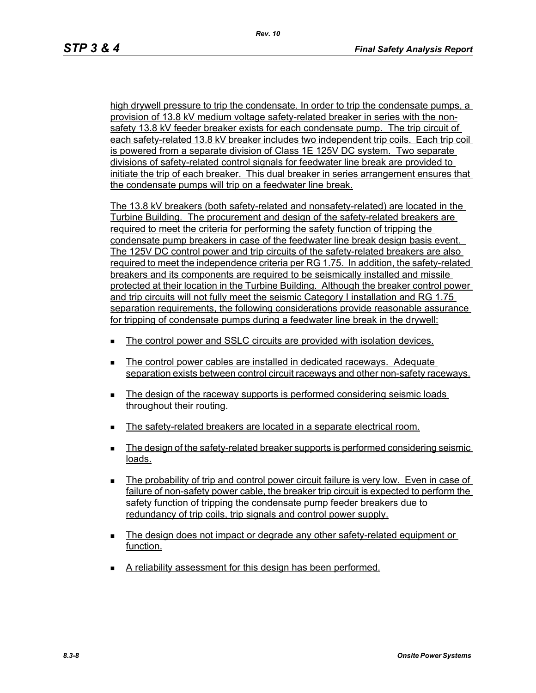high drywell pressure to trip the condensate. In order to trip the condensate pumps, a provision of 13.8 kV medium voltage safety-related breaker in series with the nonsafety 13.8 kV feeder breaker exists for each condensate pump. The trip circuit of each safety-related 13.8 kV breaker includes two independent trip coils. Each trip coil is powered from a separate division of Class 1E 125V DC system. Two separate divisions of safety-related control signals for feedwater line break are provided to initiate the trip of each breaker. This dual breaker in series arrangement ensures that the condensate pumps will trip on a feedwater line break.

The 13.8 kV breakers (both safety-related and nonsafety-related) are located in the Turbine Building. The procurement and design of the safety-related breakers are required to meet the criteria for performing the safety function of tripping the condensate pump breakers in case of the feedwater line break design basis event. The 125V DC control power and trip circuits of the safety-related breakers are also required to meet the independence criteria per RG 1.75. In addition, the safety-related breakers and its components are required to be seismically installed and missile protected at their location in the Turbine Building. Although the breaker control power and trip circuits will not fully meet the seismic Category I installation and RG 1.75 separation requirements, the following considerations provide reasonable assurance for tripping of condensate pumps during a feedwater line break in the drywell:

- The control power and SSLC circuits are provided with isolation devices.
- The control power cables are installed in dedicated raceways. Adequate separation exists between control circuit raceways and other non-safety raceways.
- The design of the raceway supports is performed considering seismic loads throughout their routing.
- The safety-related breakers are located in a separate electrical room.
- The design of the safety-related breaker supports is performed considering seismic loads.
- The probability of trip and control power circuit failure is very low. Even in case of failure of non-safety power cable, the breaker trip circuit is expected to perform the safety function of tripping the condensate pump feeder breakers due to redundancy of trip coils, trip signals and control power supply.
- The design does not impact or degrade any other safety-related equipment or function.
- A reliability assessment for this design has been performed.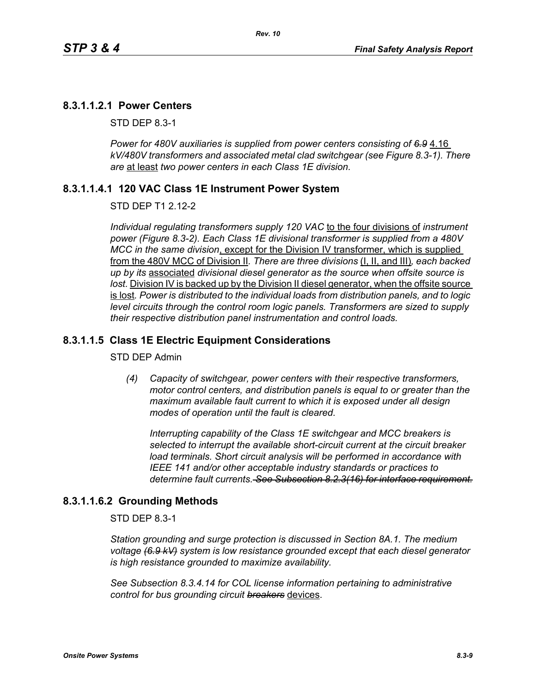### **8.3.1.1.2.1 Power Centers**

STD DEP 8.3-1

Power for 480V auxiliaries is supplied from power centers consisting of 6.9 4.16 *kV/480V transformers and associated metal clad switchgear (see Figure 8.3-1). There are* at least *two power centers in each Class 1E division.*

#### **8.3.1.1.4.1 120 VAC Class 1E Instrument Power System**

#### STD DEP T1 2.12-2

*Individual regulating transformers supply 120 VAC* to the four divisions of *instrument power (Figure 8.3-2). Each Class 1E divisional transformer is supplied from a 480V MCC in the same division*, except for the Division IV transformer, which is supplied from the 480V MCC of Division II*. There are three divisions* (I, II, and III)*, each backed up by its* associated *divisional diesel generator as the source when offsite source is*  lost. Division IV is backed up by the Division II diesel generator, when the offsite source is lost*. Power is distributed to the individual loads from distribution panels, and to logic level circuits through the control room logic panels. Transformers are sized to supply their respective distribution panel instrumentation and control loads.*

#### **8.3.1.1.5 Class 1E Electric Equipment Considerations**

#### STD DEP Admin

*(4) Capacity of switchgear, power centers with their respective transformers, motor control centers, and distribution panels is equal to or greater than the maximum available fault current to which it is exposed under all design modes of operation until the fault is cleared.*

*Interrupting capability of the Class 1E switchgear and MCC breakers is selected to interrupt the available short-circuit current at the circuit breaker load terminals. Short circuit analysis will be performed in accordance with IEEE 141 and/or other acceptable industry standards or practices to determine fault currents. See Subsection 8.2.3(16) for interface requirement.*

#### **8.3.1.1.6.2 Grounding Methods**

STD DEP 8.3-1

*Station grounding and surge protection is discussed in Section 8A.1. The medium voltage (6.9 kV) system is low resistance grounded except that each diesel generator is high resistance grounded to maximize availability.*

*See Subsection 8.3.4.14 for COL license information pertaining to administrative control for bus grounding circuit breakers* devices.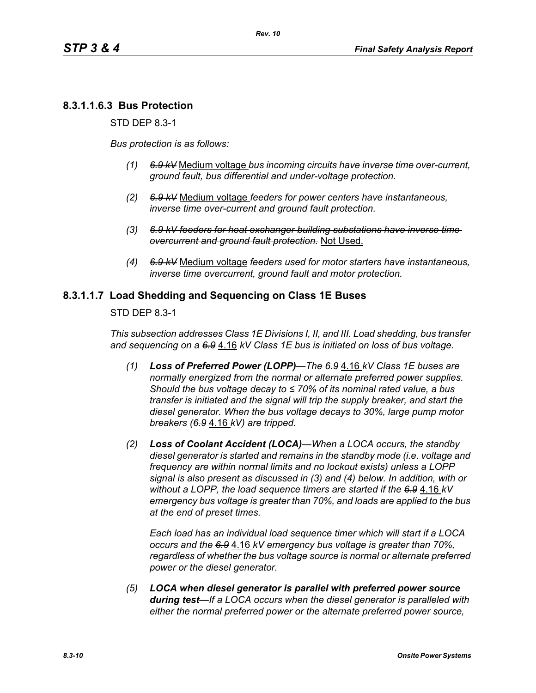# **8.3.1.1.6.3 Bus Protection**

STD DEP 8.3-1

*Bus protection is as follows:*

- *(1) 6.9 kV* Medium voltage *bus incoming circuits have inverse time over-current, ground fault, bus differential and under-voltage protection.*
- *(2) 6.9 kV* Medium voltage *feeders for power centers have instantaneous, inverse time over-current and ground fault protection.*
- *(3) 6.9 kV feeders for heat exchanger building substations have inverse time overcurrent and ground fault protection.* Not Used.
- *(4) 6.9 kV* Medium voltage *feeders used for motor starters have instantaneous, inverse time overcurrent, ground fault and motor protection.*

#### **8.3.1.1.7 Load Shedding and Sequencing on Class 1E Buses**

STD DEP 8.3-1

*This subsection addresses Class 1E Divisions I, II, and III. Load shedding, bus transfer and sequencing on a 6.9* 4.16 *kV Class 1E bus is initiated on loss of bus voltage.*

- *(1) Loss of Preferred Power (LOPP)—The 6.9* 4.16 *kV Class 1E buses are normally energized from the normal or alternate preferred power supplies. Should the bus voltage decay to ≤ 70% of its nominal rated value, a bus transfer is initiated and the signal will trip the supply breaker, and start the diesel generator. When the bus voltage decays to 30%, large pump motor breakers (6.9* 4.16 *kV) are tripped.*
- *(2) Loss of Coolant Accident (LOCA)—When a LOCA occurs, the standby diesel generator is started and remains in the standby mode (i.e. voltage and frequency are within normal limits and no lockout exists) unless a LOPP signal is also present as discussed in (3) and (4) below. In addition, with or without a LOPP, the load sequence timers are started if the 6.9* 4.16 *kV emergency bus voltage is greater than 70%, and loads are applied to the bus at the end of preset times.*

*Each load has an individual load sequence timer which will start if a LOCA occurs and the 6.9* 4.16 *kV emergency bus voltage is greater than 70%, regardless of whether the bus voltage source is normal or alternate preferred power or the diesel generator.*

*(5) LOCA when diesel generator is parallel with preferred power source during test—If a LOCA occurs when the diesel generator is paralleled with either the normal preferred power or the alternate preferred power source,*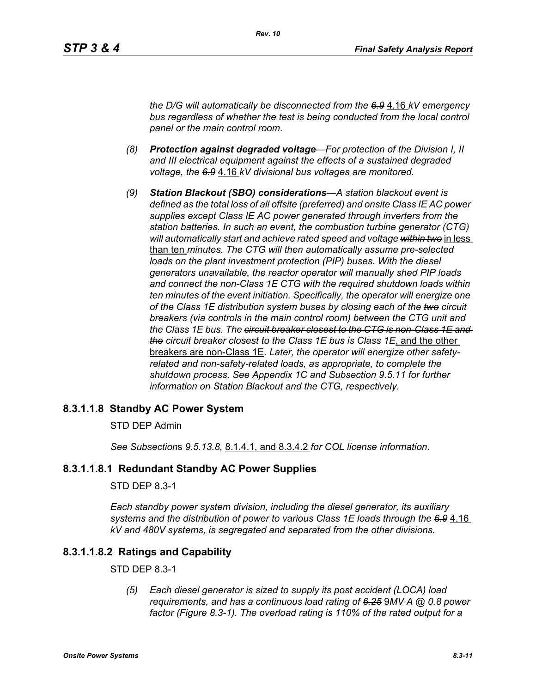*the D/G will automatically be disconnected from the 6.9* 4.16 *kV emergency bus regardless of whether the test is being conducted from the local control panel or the main control room.*

- *(8) Protection against degraded voltage—For protection of the Division I, II and III electrical equipment against the effects of a sustained degraded voltage, the 6.9* 4.16 *kV divisional bus voltages are monitored.*
- *(9) Station Blackout (SBO) considerations—A station blackout event is defined as the total loss of all offsite (preferred) and onsite Class IE AC power supplies except Class IE AC power generated through inverters from the station batteries. In such an event, the combustion turbine generator (CTG) will automatically start and achieve rated speed and voltage within two* in less than ten *minutes. The CTG will then automatically assume pre-selected loads on the plant investment protection (PIP) buses. With the diesel generators unavailable, the reactor operator will manually shed PIP loads and connect the non-Class 1E CTG with the required shutdown loads within ten minutes of the event initiation. Specifically, the operator will energize one of the Class 1E distribution system buses by closing each of the two circuit breakers (via controls in the main control room) between the CTG unit and the Class 1E bus. The circuit breaker closest to the CTG is non-Class 1E and the circuit breaker closest to the Class 1E bus is Class 1E*, and the other breakers are non-Class 1E*. Later, the operator will energize other safetyrelated and non-safety-related loads, as appropriate, to complete the shutdown process. See Appendix 1C and Subsection 9.5.11 for further information on Station Blackout and the CTG, respectively.*

#### **8.3.1.1.8 Standby AC Power System**

#### STD DEP Admin

*See Subsection*s *9.5.13.8,* 8.1.4.1, and 8.3.4.2 *for COL license information.*

#### **8.3.1.1.8.1 Redundant Standby AC Power Supplies**

#### STD DEP 8.3-1

*Each standby power system division, including the diesel generator, its auxiliary systems and the distribution of power to various Class 1E loads through the 6.9* 4.16 *kV and 480V systems, is segregated and separated from the other divisions.*

### **8.3.1.1.8.2 Ratings and Capability**

#### STD DEP 8.3-1

*(5) Each diesel generator is sized to supply its post accident (LOCA) load requirements, and has a continuous load rating of 6.25* 9*MV*⋅*A @ 0.8 power factor (Figure 8.3-1). The overload rating is 110% of the rated output for a*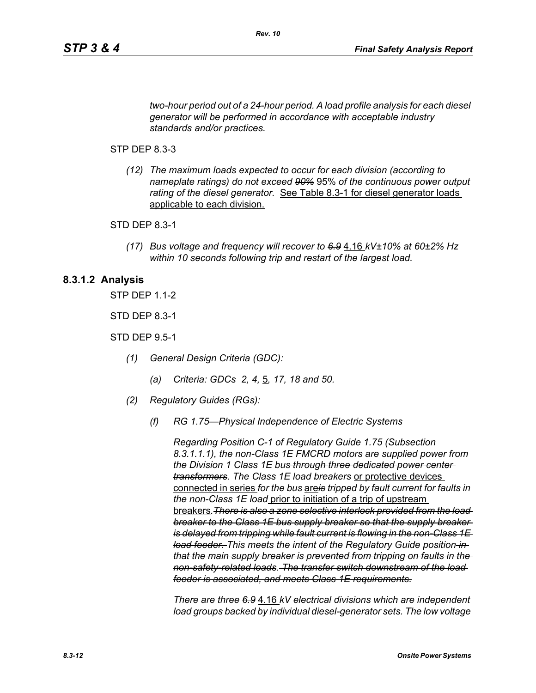*two-hour period out of a 24-hour period. A load profile analysis for each diesel generator will be performed in accordance with acceptable industry standards and/or practices.*

#### STP DEP 8.3-3

*(12) The maximum loads expected to occur for each division (according to nameplate ratings) do not exceed 90%* 95% *of the continuous power output rating of the diesel generator.* See Table 8.3-1 for diesel generator loads applicable to each division.

#### STD DEP 8.3-1

*(17) Bus voltage and frequency will recover to 6.9* 4.16 *kV±10% at 60±2% Hz within 10 seconds following trip and restart of the largest load.*

#### **8.3.1.2 Analysis**

STP DEP 1.1-2

STD DEP 8.3-1

STD DEP 9.5-1

- *(1) General Design Criteria (GDC):*
	- *(a) Criteria: GDCs 2, 4,* 5*, 17, 18 and 50.*
- *(2) Regulatory Guides (RGs):*
	- *(f) RG 1.75—Physical Independence of Electric Systems*

*Regarding Position C-1 of Regulatory Guide 1.75 (Subsection 8.3.1.1.1), the non-Class 1E FMCRD motors are supplied power from the Division 1 Class 1E bus through three dedicated power center transformers. The Class 1E load breakers* or protective devices connected in series *for the bus* are*is tripped by fault current for faults in the non-Class 1E load* prior to initiation of a trip of upstream breakers*.There is also a zone selective interlock provided from the load breaker to the Class 1E bus supply breaker so that the supply breaker is delayed from tripping while fault current is flowing in the non-Class 1E load feeder. This meets the intent of the Regulatory Guide position in that the main supply breaker is prevented from tripping on faults in the non-safety-related loads. The transfer switch downstream of the load feeder is associated, and meets Class 1E requirements.*

*There are three 6.9* 4.16 *kV electrical divisions which are independent load groups backed by individual diesel-generator sets. The low voltage*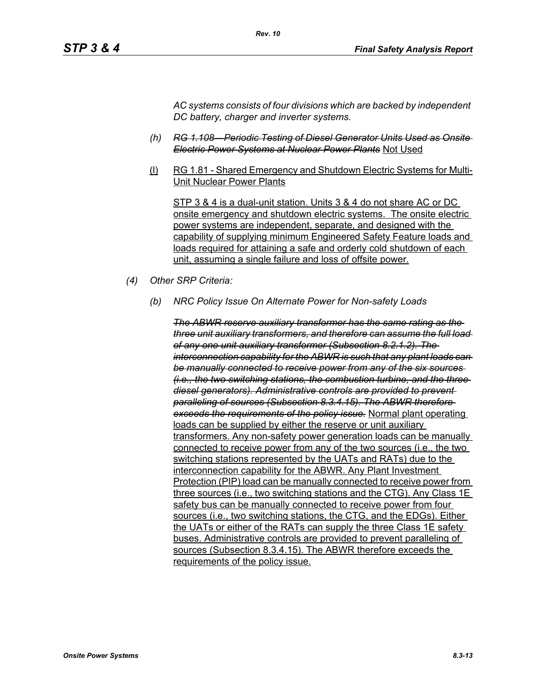*AC systems consists of four divisions which are backed by independent DC battery, charger and inverter systems.*

- *(h) RG 1.108—Periodic Testing of Diesel Generator Units Used as Onsite Electric Power Systems at Nuclear Power Plants* Not Used
- (l) RG 1.81 Shared Emergency and Shutdown Electric Systems for Multi-Unit Nuclear Power Plants

STP 3 & 4 is a dual-unit station. Units 3 & 4 do not share AC or DC onsite emergency and shutdown electric systems. The onsite electric power systems are independent, separate, and designed with the capability of supplying minimum Engineered Safety Feature loads and loads required for attaining a safe and orderly cold shutdown of each unit, assuming a single failure and loss of offsite power.

- *(4) Other SRP Criteria:*
	- *(b) NRC Policy Issue On Alternate Power for Non-safety Loads*

*The ABWR reserve auxiliary transformer has the same rating as the three unit auxiliary transformers, and therefore can assume the full load of any one unit auxiliary transformer (Subsection 8.2.1.2). The interconnection capability for the ABWR is such that any plant loads can be manually connected to receive power from any of the six sources (i.e., the two switching stations, the combustion turbine, and the three diesel generators). Administrative controls are provided to prevent paralleling of sources (Subsection 8.3.4.15). The ABWR therefore exceeds the requirements of the policy issue.* Normal plant operating loads can be supplied by either the reserve or unit auxiliary transformers. Any non-safety power generation loads can be manually connected to receive power from any of the two sources (i.e., the two switching stations represented by the UATs and RATs) due to the interconnection capability for the ABWR. Any Plant Investment Protection (PIP) load can be manually connected to receive power from three sources (i.e., two switching stations and the CTG). Any Class 1E safety bus can be manually connected to receive power from four sources (i.e., two switching stations, the CTG, and the EDGs). Either the UATs or either of the RATs can supply the three Class 1E safety buses. Administrative controls are provided to prevent paralleling of sources (Subsection 8.3.4.15). The ABWR therefore exceeds the requirements of the policy issue.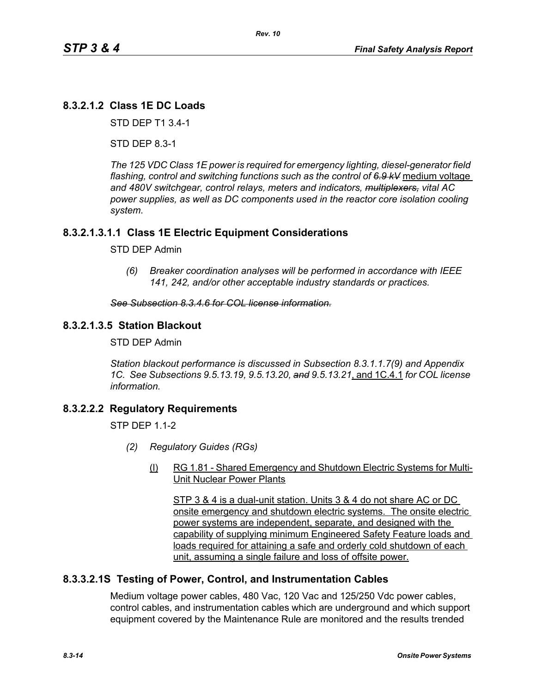# **8.3.2.1.2 Class 1E DC Loads**

STD DEP T1 3.4-1

STD DEP 8.3-1

*The 125 VDC Class 1E power is required for emergency lighting, diesel-generator field flashing, control and switching functions such as the control of 6.9 kV* medium voltage *and 480V switchgear, control relays, meters and indicators, multiplexers, vital AC power supplies, as well as DC components used in the reactor core isolation cooling system.*

## **8.3.2.1.3.1.1 Class 1E Electric Equipment Considerations**

#### STD DEP Admin

*(6) Breaker coordination analyses will be performed in accordance with IEEE 141, 242, and/or other acceptable industry standards or practices.*

#### *See Subsection 8.3.4.6 for COL license information.*

#### **8.3.2.1.3.5 Station Blackout**

STD DEP Admin

*Station blackout performance is discussed in Subsection 8.3.1.1.7(9) and Appendix 1C. See Subsections 9.5.13.19, 9.5.13.20, and 9.5.13.21*, and 1C.4.1 *for COL license information.*

#### **8.3.2.2.2 Regulatory Requirements**

 $STP$  DFP 11-2

- *(2) Regulatory Guides (RGs)*
	- (l) RG 1.81 Shared Emergency and Shutdown Electric Systems for Multi-Unit Nuclear Power Plants

STP 3 & 4 is a dual-unit station. Units 3 & 4 do not share AC or DC onsite emergency and shutdown electric systems. The onsite electric power systems are independent, separate, and designed with the capability of supplying minimum Engineered Safety Feature loads and loads required for attaining a safe and orderly cold shutdown of each unit, assuming a single failure and loss of offsite power.

#### **8.3.3.2.1S Testing of Power, Control, and Instrumentation Cables**

Medium voltage power cables, 480 Vac, 120 Vac and 125/250 Vdc power cables, control cables, and instrumentation cables which are underground and which support equipment covered by the Maintenance Rule are monitored and the results trended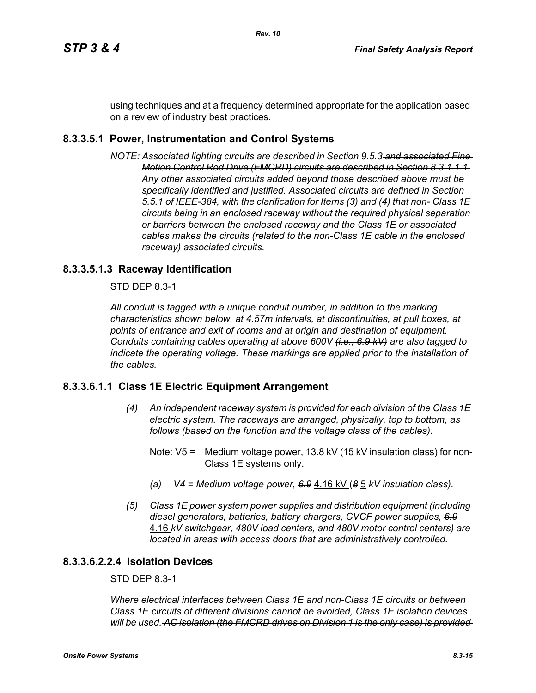using techniques and at a frequency determined appropriate for the application based on a review of industry best practices.

# **8.3.3.5.1 Power, Instrumentation and Control Systems**

*NOTE: Associated lighting circuits are described in Section 9.5.3 and associated Fine Motion Control Rod Drive (FMCRD) circuits are described in Section 8.3.1.1.1. Any other associated circuits added beyond those described above must be specifically identified and justified. Associated circuits are defined in Section 5.5.1 of IEEE-384, with the clarification for Items (3) and (4) that non- Class 1E circuits being in an enclosed raceway without the required physical separation or barriers between the enclosed raceway and the Class 1E or associated cables makes the circuits (related to the non-Class 1E cable in the enclosed raceway) associated circuits.*

# **8.3.3.5.1.3 Raceway Identification**

STD DEP 8.3-1

*All conduit is tagged with a unique conduit number, in addition to the marking characteristics shown below, at 4.57m intervals, at discontinuities, at pull boxes, at points of entrance and exit of rooms and at origin and destination of equipment. Conduits containing cables operating at above 600V (i.e., 6.9 kV) are also tagged to indicate the operating voltage. These markings are applied prior to the installation of the cables.*

## **8.3.3.6.1.1 Class 1E Electric Equipment Arrangement**

- *(4) An independent raceway system is provided for each division of the Class 1E electric system. The raceways are arranged, physically, top to bottom, as follows (based on the function and the voltage class of the cables):*
	- Note:  $V5 =$  Medium voltage power, 13.8 kV (15 kV insulation class) for non-Class 1E systems only.
	- *(a) V4 = Medium voltage power, 6.9* 4.16 kV (*8* 5 *kV insulation class).*
- *(5) Class 1E power system power supplies and distribution equipment (including diesel generators, batteries, battery chargers, CVCF power supplies, 6.9* 4.16 *kV switchgear, 480V load centers, and 480V motor control centers) are located in areas with access doors that are administratively controlled.*

## **8.3.3.6.2.2.4 Isolation Devices**

## STD DEP 8.3-1

*Where electrical interfaces between Class 1E and non-Class 1E circuits or between Class 1E circuits of different divisions cannot be avoided, Class 1E isolation devices will be used. AC isolation (the FMCRD drives on Division 1 is the only case) is provided*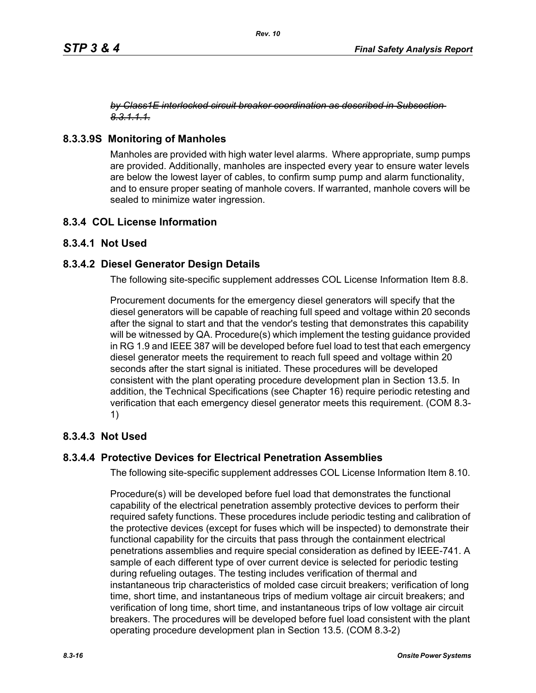#### *by Class1E interlocked circuit breaker coordination as described in Subsection 8.3.1.1.1.*

## **8.3.3.9S Monitoring of Manholes**

Manholes are provided with high water level alarms. Where appropriate, sump pumps are provided. Additionally, manholes are inspected every year to ensure water levels are below the lowest layer of cables, to confirm sump pump and alarm functionality, and to ensure proper seating of manhole covers. If warranted, manhole covers will be sealed to minimize water ingression.

## **8.3.4 COL License Information**

## **8.3.4.1 Not Used**

## **8.3.4.2 Diesel Generator Design Details**

The following site-specific supplement addresses COL License Information Item 8.8.

Procurement documents for the emergency diesel generators will specify that the diesel generators will be capable of reaching full speed and voltage within 20 seconds after the signal to start and that the vendor's testing that demonstrates this capability will be witnessed by QA. Procedure(s) which implement the testing guidance provided in RG 1.9 and IEEE 387 will be developed before fuel load to test that each emergency diesel generator meets the requirement to reach full speed and voltage within 20 seconds after the start signal is initiated. These procedures will be developed consistent with the plant operating procedure development plan in Section 13.5. In addition, the Technical Specifications (see Chapter 16) require periodic retesting and verification that each emergency diesel generator meets this requirement. (COM 8.3- 1)

## **8.3.4.3 Not Used**

## **8.3.4.4 Protective Devices for Electrical Penetration Assemblies**

The following site-specific supplement addresses COL License Information Item 8.10.

Procedure(s) will be developed before fuel load that demonstrates the functional capability of the electrical penetration assembly protective devices to perform their required safety functions. These procedures include periodic testing and calibration of the protective devices (except for fuses which will be inspected) to demonstrate their functional capability for the circuits that pass through the containment electrical penetrations assemblies and require special consideration as defined by IEEE-741. A sample of each different type of over current device is selected for periodic testing during refueling outages. The testing includes verification of thermal and instantaneous trip characteristics of molded case circuit breakers; verification of long time, short time, and instantaneous trips of medium voltage air circuit breakers; and verification of long time, short time, and instantaneous trips of low voltage air circuit breakers. The procedures will be developed before fuel load consistent with the plant operating procedure development plan in Section 13.5. (COM 8.3-2)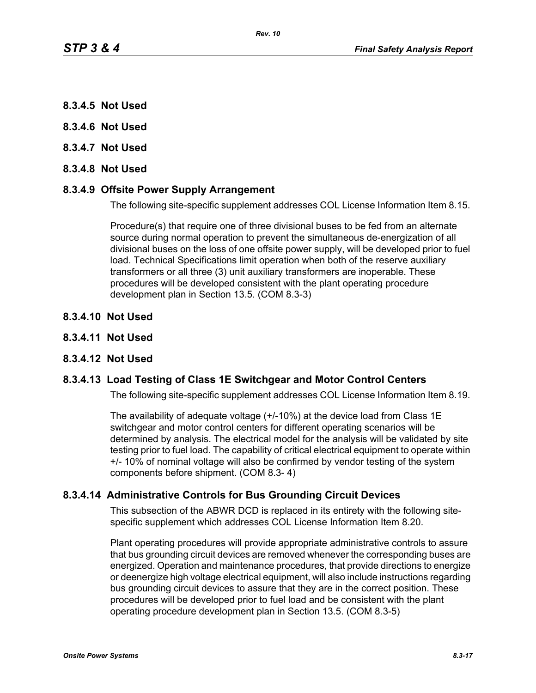- **8.3.4.5 Not Used**
- **8.3.4.6 Not Used**
- **8.3.4.7 Not Used**
- **8.3.4.8 Not Used**

#### **8.3.4.9 Offsite Power Supply Arrangement**

The following site-specific supplement addresses COL License Information Item 8.15.

Procedure(s) that require one of three divisional buses to be fed from an alternate source during normal operation to prevent the simultaneous de-energization of all divisional buses on the loss of one offsite power supply, will be developed prior to fuel load. Technical Specifications limit operation when both of the reserve auxiliary transformers or all three (3) unit auxiliary transformers are inoperable. These procedures will be developed consistent with the plant operating procedure development plan in Section 13.5. (COM 8.3-3)

- **8.3.4.10 Not Used**
- **8.3.4.11 Not Used**

#### **8.3.4.12 Not Used**

#### **8.3.4.13 Load Testing of Class 1E Switchgear and Motor Control Centers**

The following site-specific supplement addresses COL License Information Item 8.19.

The availability of adequate voltage (+/-10%) at the device load from Class 1E switchgear and motor control centers for different operating scenarios will be determined by analysis. The electrical model for the analysis will be validated by site testing prior to fuel load. The capability of critical electrical equipment to operate within +/- 10% of nominal voltage will also be confirmed by vendor testing of the system components before shipment. (COM 8.3- 4)

#### **8.3.4.14 Administrative Controls for Bus Grounding Circuit Devices**

This subsection of the ABWR DCD is replaced in its entirety with the following sitespecific supplement which addresses COL License Information Item 8.20.

Plant operating procedures will provide appropriate administrative controls to assure that bus grounding circuit devices are removed whenever the corresponding buses are energized. Operation and maintenance procedures, that provide directions to energize or deenergize high voltage electrical equipment, will also include instructions regarding bus grounding circuit devices to assure that they are in the correct position. These procedures will be developed prior to fuel load and be consistent with the plant operating procedure development plan in Section 13.5. (COM 8.3-5)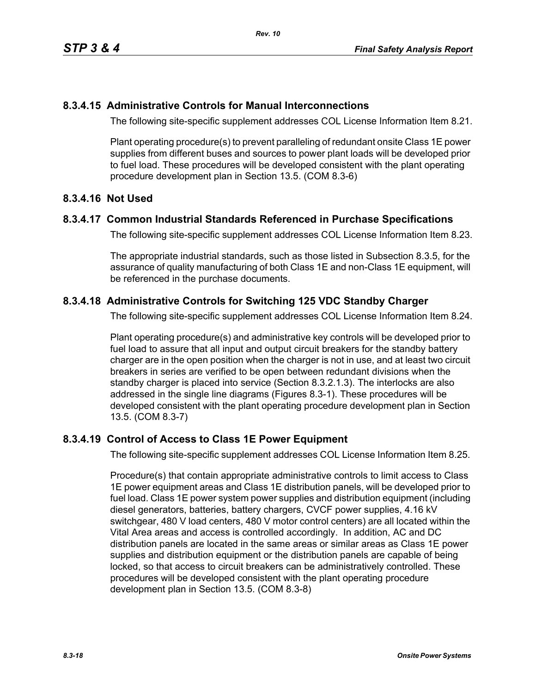## **8.3.4.15 Administrative Controls for Manual Interconnections**

The following site-specific supplement addresses COL License Information Item 8.21.

Plant operating procedure(s) to prevent paralleling of redundant onsite Class 1E power supplies from different buses and sources to power plant loads will be developed prior to fuel load. These procedures will be developed consistent with the plant operating procedure development plan in Section 13.5. (COM 8.3-6)

## **8.3.4.16 Not Used**

#### **8.3.4.17 Common Industrial Standards Referenced in Purchase Specifications**

The following site-specific supplement addresses COL License Information Item 8.23.

The appropriate industrial standards, such as those listed in Subsection 8.3.5, for the assurance of quality manufacturing of both Class 1E and non-Class 1E equipment, will be referenced in the purchase documents.

# **8.3.4.18 Administrative Controls for Switching 125 VDC Standby Charger**

The following site-specific supplement addresses COL License Information Item 8.24.

Plant operating procedure(s) and administrative key controls will be developed prior to fuel load to assure that all input and output circuit breakers for the standby battery charger are in the open position when the charger is not in use, and at least two circuit breakers in series are verified to be open between redundant divisions when the standby charger is placed into service (Section 8.3.2.1.3). The interlocks are also addressed in the single line diagrams (Figures 8.3-1). These procedures will be developed consistent with the plant operating procedure development plan in Section 13.5. (COM 8.3-7)

## **8.3.4.19 Control of Access to Class 1E Power Equipment**

The following site-specific supplement addresses COL License Information Item 8.25.

Procedure(s) that contain appropriate administrative controls to limit access to Class 1E power equipment areas and Class 1E distribution panels, will be developed prior to fuel load. Class 1E power system power supplies and distribution equipment (including diesel generators, batteries, battery chargers, CVCF power supplies, 4.16 kV switchgear, 480 V load centers, 480 V motor control centers) are all located within the Vital Area areas and access is controlled accordingly. In addition, AC and DC distribution panels are located in the same areas or similar areas as Class 1E power supplies and distribution equipment or the distribution panels are capable of being locked, so that access to circuit breakers can be administratively controlled. These procedures will be developed consistent with the plant operating procedure development plan in Section 13.5. (COM 8.3-8)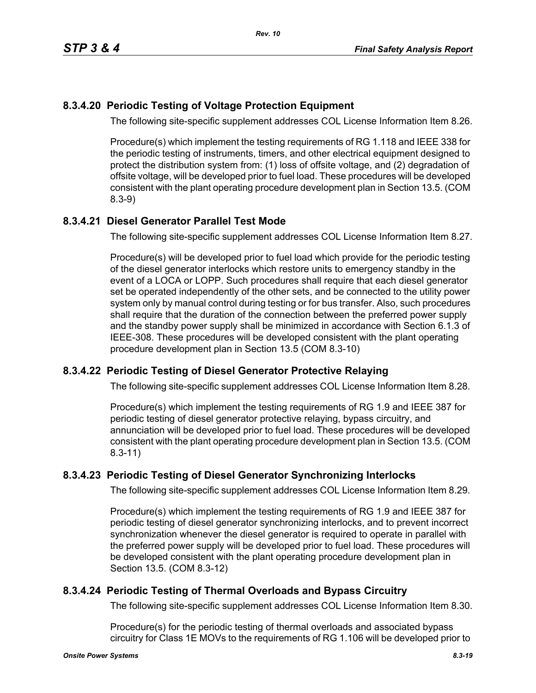# **8.3.4.20 Periodic Testing of Voltage Protection Equipment**

The following site-specific supplement addresses COL License Information Item 8.26.

Procedure(s) which implement the testing requirements of RG 1.118 and IEEE 338 for the periodic testing of instruments, timers, and other electrical equipment designed to protect the distribution system from: (1) loss of offsite voltage, and (2) degradation of offsite voltage, will be developed prior to fuel load. These procedures will be developed consistent with the plant operating procedure development plan in Section 13.5. (COM 8.3-9)

# **8.3.4.21 Diesel Generator Parallel Test Mode**

The following site-specific supplement addresses COL License Information Item 8.27.

Procedure(s) will be developed prior to fuel load which provide for the periodic testing of the diesel generator interlocks which restore units to emergency standby in the event of a LOCA or LOPP. Such procedures shall require that each diesel generator set be operated independently of the other sets, and be connected to the utility power system only by manual control during testing or for bus transfer. Also, such procedures shall require that the duration of the connection between the preferred power supply and the standby power supply shall be minimized in accordance with Section 6.1.3 of IEEE-308. These procedures will be developed consistent with the plant operating procedure development plan in Section 13.5 (COM 8.3-10)

# **8.3.4.22 Periodic Testing of Diesel Generator Protective Relaying**

The following site-specific supplement addresses COL License Information Item 8.28.

Procedure(s) which implement the testing requirements of RG 1.9 and IEEE 387 for periodic testing of diesel generator protective relaying, bypass circuitry, and annunciation will be developed prior to fuel load. These procedures will be developed consistent with the plant operating procedure development plan in Section 13.5. (COM 8.3-11)

## **8.3.4.23 Periodic Testing of Diesel Generator Synchronizing Interlocks**

The following site-specific supplement addresses COL License Information Item 8.29.

Procedure(s) which implement the testing requirements of RG 1.9 and IEEE 387 for periodic testing of diesel generator synchronizing interlocks, and to prevent incorrect synchronization whenever the diesel generator is required to operate in parallel with the preferred power supply will be developed prior to fuel load. These procedures will be developed consistent with the plant operating procedure development plan in Section 13.5. (COM 8.3-12)

## **8.3.4.24 Periodic Testing of Thermal Overloads and Bypass Circuitry**

The following site-specific supplement addresses COL License Information Item 8.30.

Procedure(s) for the periodic testing of thermal overloads and associated bypass circuitry for Class 1E MOVs to the requirements of RG 1.106 will be developed prior to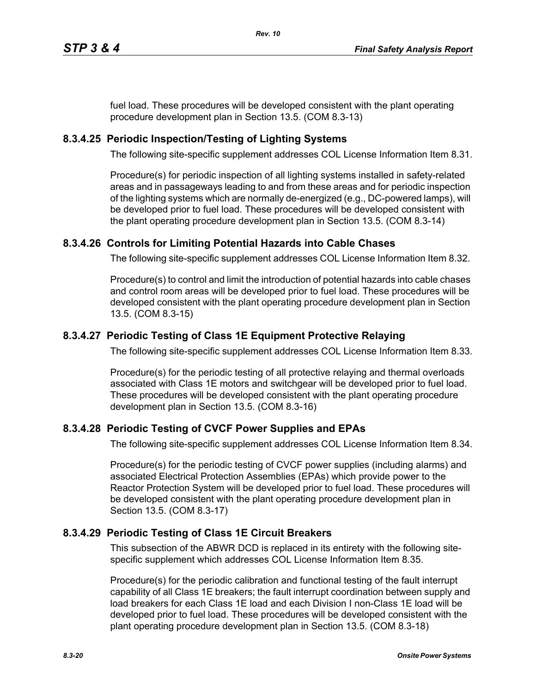fuel load. These procedures will be developed consistent with the plant operating procedure development plan in Section 13.5. (COM 8.3-13)

## **8.3.4.25 Periodic Inspection/Testing of Lighting Systems**

The following site-specific supplement addresses COL License Information Item 8.31.

Procedure(s) for periodic inspection of all lighting systems installed in safety-related areas and in passageways leading to and from these areas and for periodic inspection of the lighting systems which are normally de-energized (e.g., DC-powered lamps), will be developed prior to fuel load. These procedures will be developed consistent with the plant operating procedure development plan in Section 13.5. (COM 8.3-14)

# **8.3.4.26 Controls for Limiting Potential Hazards into Cable Chases**

The following site-specific supplement addresses COL License Information Item 8.32.

Procedure(s) to control and limit the introduction of potential hazards into cable chases and control room areas will be developed prior to fuel load. These procedures will be developed consistent with the plant operating procedure development plan in Section 13.5. (COM 8.3-15)

# **8.3.4.27 Periodic Testing of Class 1E Equipment Protective Relaying**

The following site-specific supplement addresses COL License Information Item 8.33.

Procedure(s) for the periodic testing of all protective relaying and thermal overloads associated with Class 1E motors and switchgear will be developed prior to fuel load. These procedures will be developed consistent with the plant operating procedure development plan in Section 13.5. (COM 8.3-16)

## **8.3.4.28 Periodic Testing of CVCF Power Supplies and EPAs**

The following site-specific supplement addresses COL License Information Item 8.34.

Procedure(s) for the periodic testing of CVCF power supplies (including alarms) and associated Electrical Protection Assemblies (EPAs) which provide power to the Reactor Protection System will be developed prior to fuel load. These procedures will be developed consistent with the plant operating procedure development plan in Section 13.5. (COM 8.3-17)

## **8.3.4.29 Periodic Testing of Class 1E Circuit Breakers**

This subsection of the ABWR DCD is replaced in its entirety with the following sitespecific supplement which addresses COL License Information Item 8.35.

Procedure(s) for the periodic calibration and functional testing of the fault interrupt capability of all Class 1E breakers; the fault interrupt coordination between supply and load breakers for each Class 1E load and each Division I non-Class 1E load will be developed prior to fuel load. These procedures will be developed consistent with the plant operating procedure development plan in Section 13.5. (COM 8.3-18)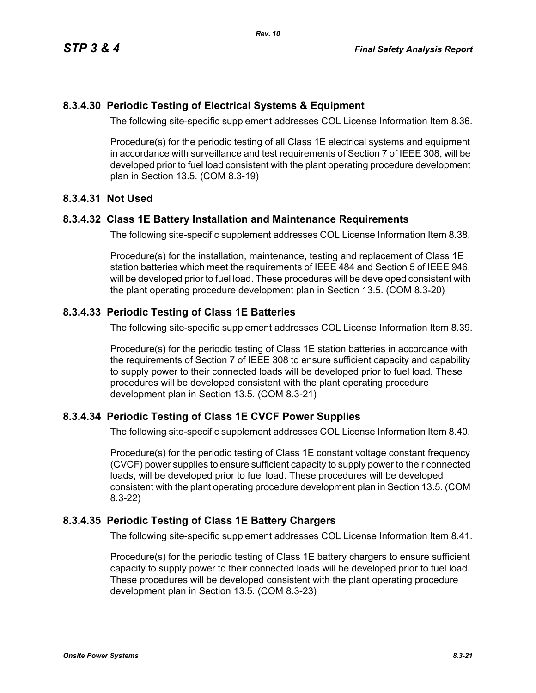## **8.3.4.30 Periodic Testing of Electrical Systems & Equipment**

The following site-specific supplement addresses COL License Information Item 8.36.

Procedure(s) for the periodic testing of all Class 1E electrical systems and equipment in accordance with surveillance and test requirements of Section 7 of IEEE 308, will be developed prior to fuel load consistent with the plant operating procedure development plan in Section 13.5. (COM 8.3-19)

## **8.3.4.31 Not Used**

#### **8.3.4.32 Class 1E Battery Installation and Maintenance Requirements**

The following site-specific supplement addresses COL License Information Item 8.38.

Procedure(s) for the installation, maintenance, testing and replacement of Class 1E station batteries which meet the requirements of IEEE 484 and Section 5 of IEEE 946, will be developed prior to fuel load. These procedures will be developed consistent with the plant operating procedure development plan in Section 13.5. (COM 8.3-20)

## **8.3.4.33 Periodic Testing of Class 1E Batteries**

The following site-specific supplement addresses COL License Information Item 8.39.

Procedure(s) for the periodic testing of Class 1E station batteries in accordance with the requirements of Section 7 of IEEE 308 to ensure sufficient capacity and capability to supply power to their connected loads will be developed prior to fuel load. These procedures will be developed consistent with the plant operating procedure development plan in Section 13.5. (COM 8.3-21)

## **8.3.4.34 Periodic Testing of Class 1E CVCF Power Supplies**

The following site-specific supplement addresses COL License Information Item 8.40.

Procedure(s) for the periodic testing of Class 1E constant voltage constant frequency (CVCF) power supplies to ensure sufficient capacity to supply power to their connected loads, will be developed prior to fuel load. These procedures will be developed consistent with the plant operating procedure development plan in Section 13.5. (COM 8.3-22)

## **8.3.4.35 Periodic Testing of Class 1E Battery Chargers**

The following site-specific supplement addresses COL License Information Item 8.41.

Procedure(s) for the periodic testing of Class 1E battery chargers to ensure sufficient capacity to supply power to their connected loads will be developed prior to fuel load. These procedures will be developed consistent with the plant operating procedure development plan in Section 13.5. (COM 8.3-23)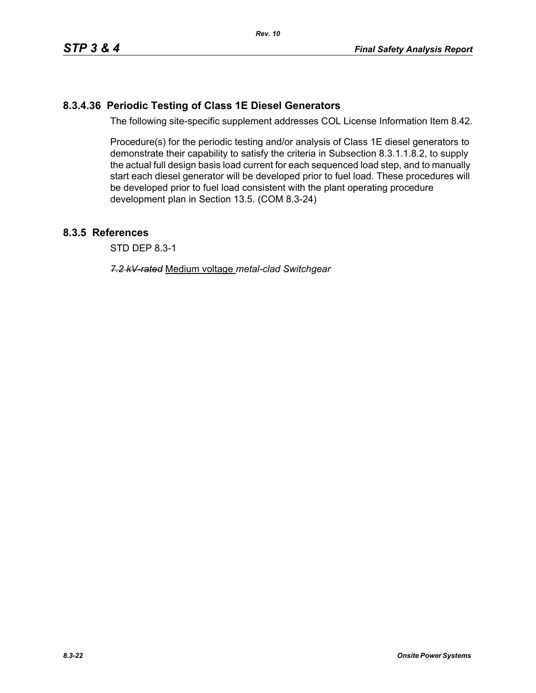# **8.3.4.36 Periodic Testing of Class 1E Diesel Generators**

The following site-specific supplement addresses COL License Information Item 8.42.

Procedure(s) for the periodic testing and/or analysis of Class 1E diesel generators to demonstrate their capability to satisfy the criteria in Subsection 8.3.1.1.8.2, to supply the actual full design basis load current for each sequenced load step, and to manually start each diesel generator will be developed prior to fuel load. These procedures will be developed prior to fuel load consistent with the plant operating procedure development plan in Section 13.5. (COM 8.3-24)

## **8.3.5 References**

STD DEP 8.3-1

*7.2 kV-rated* Medium voltage *metal-clad Switchgear*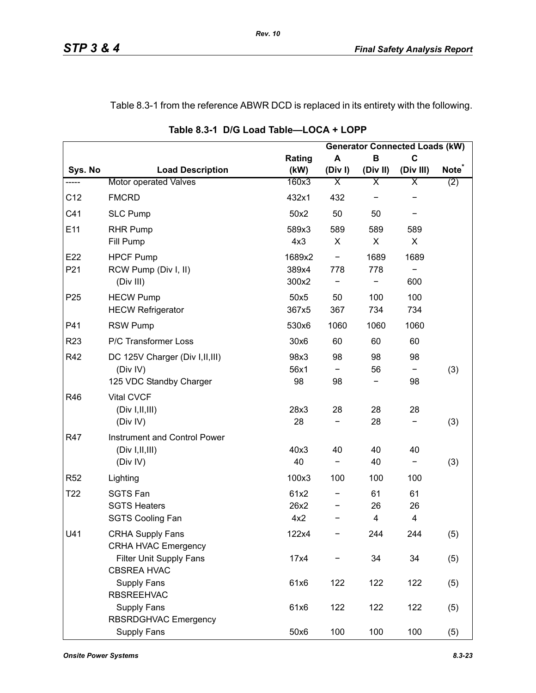# Table 8.3-1 from the reference ABWR DCD is replaced in its entirety with the following.

|                 |                                                                         |                     |                          |               | <b>Generator Connected Loads (kW)</b> |                   |
|-----------------|-------------------------------------------------------------------------|---------------------|--------------------------|---------------|---------------------------------------|-------------------|
|                 |                                                                         | Rating              | A                        | B             | $\mathbf C$                           |                   |
| Sys. No         | <b>Load Description</b>                                                 | (kW)                | (Div)                    | (Div II)      | (Div III)                             | Note <sup>®</sup> |
| -----           | Motor operated Valves                                                   | 160x3               | $\overline{\mathsf{x}}$  | Χ             | Χ                                     | (2)               |
| C12             | <b>FMCRD</b>                                                            | 432x1               | 432                      |               |                                       |                   |
| C41             | <b>SLC Pump</b>                                                         | 50x2                | 50                       | 50            |                                       |                   |
| E11             | <b>RHR Pump</b><br>Fill Pump                                            | 589x3<br>4x3        | 589<br>X                 | 589<br>X      | 589<br>X                              |                   |
| E22             | <b>HPCF Pump</b>                                                        | 1689x2              | $\overline{\phantom{a}}$ | 1689          | 1689                                  |                   |
| P21             | RCW Pump (Div I, II)<br>(Div III)                                       | 389x4<br>300x2      | 778                      | 778           | 600                                   |                   |
| P <sub>25</sub> | <b>HECW Pump</b><br><b>HECW Refrigerator</b>                            | 50x5<br>367x5       | 50<br>367                | 100<br>734    | 100<br>734                            |                   |
| P41             | <b>RSW Pump</b>                                                         | 530x6               | 1060                     | 1060          | 1060                                  |                   |
| R <sub>23</sub> | P/C Transformer Loss                                                    | 30x6                | 60                       | 60            | 60                                    |                   |
| R42             | DC 125V Charger (Div I, II, III)<br>(Div IV)<br>125 VDC Standby Charger | 98x3<br>56x1<br>98  | 98<br>98                 | 98<br>56      | 98<br>98                              | (3)               |
| R46             | <b>Vital CVCF</b><br>(Div I, II, III)<br>(Div IV)                       | 28x3<br>28          | 28                       | 28<br>28      | 28                                    | (3)               |
| R47             | Instrument and Control Power<br>(Div I, II, III)<br>(Div IV)            | 40x3<br>40          | 40<br>-                  | 40<br>40      | 40<br>-                               | (3)               |
| R <sub>52</sub> | Lighting                                                                | 100x3               | 100                      | 100           | 100                                   |                   |
| T <sub>22</sub> | <b>SGTS Fan</b><br><b>SGTS Heaters</b><br><b>SGTS Cooling Fan</b>       | 61x2<br>26x2<br>4x2 |                          | 61<br>26<br>4 | 61<br>26<br>4                         |                   |
| U41             | <b>CRHA Supply Fans</b><br><b>CRHA HVAC Emergency</b>                   | 122x4               |                          | 244           | 244                                   | (5)               |
|                 | Filter Unit Supply Fans<br><b>CBSREA HVAC</b>                           | 17x4                |                          | 34            | 34                                    | (5)               |
|                 | <b>Supply Fans</b><br><b>RBSREEHVAC</b>                                 | 61x6                | 122                      | 122           | 122                                   | (5)               |
|                 | <b>Supply Fans</b><br>RBSRDGHVAC Emergency                              | 61x6                | 122                      | 122           | 122                                   | (5)               |
|                 | Supply Fans                                                             | 50x6                | 100                      | 100           | 100                                   | (5)               |

**Table 8.3-1 D/G Load Table—LOCA + LOPP**

*Rev. 10*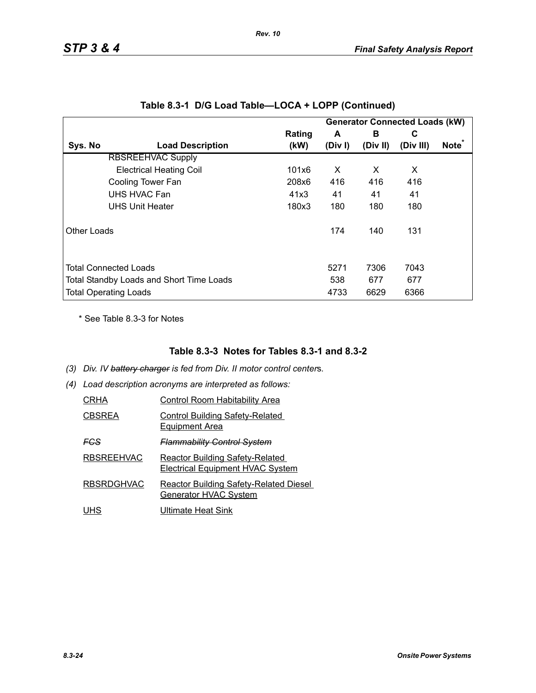|             |                                          |        |         |          | <b>Generator Connected Loads (kW)</b> |                   |
|-------------|------------------------------------------|--------|---------|----------|---------------------------------------|-------------------|
|             |                                          | Rating | A       | в        | C                                     |                   |
| Sys. No     | <b>Load Description</b>                  | (kW)   | (Div I) | (Div II) | (Div III)                             | Note <sup>*</sup> |
|             | <b>RBSREEHVAC Supply</b>                 |        |         |          |                                       |                   |
|             | <b>Electrical Heating Coil</b>           | 101x6  | X       | X        | X                                     |                   |
|             | Cooling Tower Fan                        | 208x6  | 416     | 416      | 416                                   |                   |
|             | UHS HVAC Fan                             | 41x3   | 41      | 41       | 41                                    |                   |
|             | <b>UHS Unit Heater</b>                   | 180x3  | 180     | 180      | 180                                   |                   |
| Other Loads |                                          |        | 174     | 140      | 131                                   |                   |
|             | <b>Total Connected Loads</b>             |        | 5271    | 7306     | 7043                                  |                   |
|             | Total Standby Loads and Short Time Loads |        | 538     | 677      | 677                                   |                   |
|             | <b>Total Operating Loads</b>             |        | 4733    | 6629     | 6366                                  |                   |

|  |  |  | Table 8.3-1 D/G Load Table—LOCA + LOPP (Continued) |
|--|--|--|----------------------------------------------------|
|--|--|--|----------------------------------------------------|

*Rev. 10*

\* See Table 8.3-3 for Notes

## **Table 8.3-3 Notes for Tables 8.3-1 and 8.3-2**

- *(3) Div. IV battery charger is fed from Div. II motor control center*s*.*
- *(4) Load description acronyms are interpreted as follows:*

| CRHA          | <b>Control Room Habitability Area</b>                                             |
|---------------|-----------------------------------------------------------------------------------|
| <b>CBSREA</b> | <b>Control Building Safety-Related</b><br><b>Equipment Area</b>                   |
| FCS           | <b>Flammability Control System</b>                                                |
| RBSREEHVAC    | <b>Reactor Building Safety-Related</b><br><b>Electrical Equipment HVAC System</b> |
| RBSRDGHVAC    | <b>Reactor Building Safety-Related Diesel</b><br>Generator HVAC System            |
| UHS           | Ultimate Heat Sink                                                                |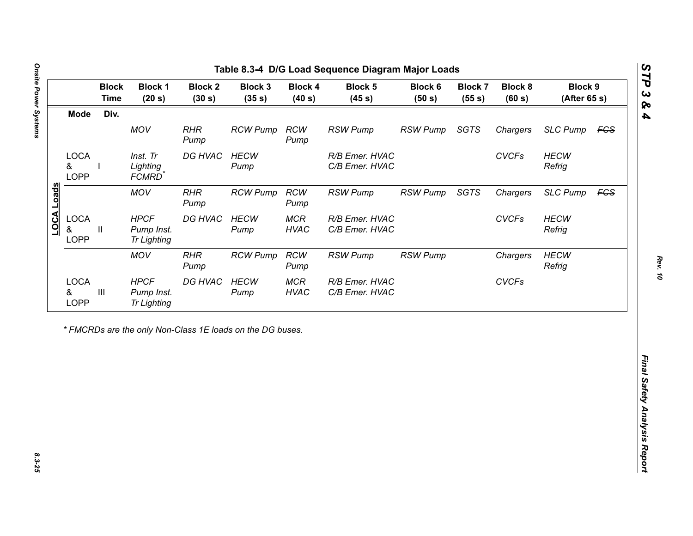| Div.<br><b>Mode</b><br>MOV<br><b>RHR</b><br><b>RCW</b><br><b>RSW Pump</b><br><b>RSW Pump</b><br><b>SGTS</b><br><b>RCW Pump</b><br>Chargers<br>Pump<br>Pump<br><b>LOCA</b><br>DG HVAC<br><b>CVCFs</b><br>Inst. Tr<br><b>HECW</b><br>R/B Emer. HVAC<br>&<br>Lighting<br>C/B Emer. HVAC<br>Refrig<br>Pump<br><b>LOPP</b><br>FCMRD <sup>*</sup><br>LOCA Loads<br><b>MOV</b><br><b>RHR</b><br><b>RCW</b><br><b>RSW Pump</b><br>SGTS<br><b>RCW Pump</b><br><b>RSW Pump</b><br>Chargers<br>Pump<br>Pump<br><b>LOCA</b><br><b>HPCF</b><br>DG HVAC<br><b>HECW</b><br><b>MCR</b><br><b>CVCFs</b><br>R/B Emer. HVAC<br>&<br>Pump Inst.<br><b>HVAC</b><br>C/B Emer. HVAC<br>Refrig<br>Ш<br>Pump<br><b>LOPP</b><br><b>Tr Lighting</b><br><b>MOV</b><br><b>RHR</b><br><b>RCW</b><br><b>RCW Pump</b><br><b>RSW Pump</b> | <b>SLC Pump</b><br><b>HECW</b><br><b>SLC Pump</b><br><b>HECW</b><br><b>HECW</b><br><b>RSW Pump</b><br>Chargers<br>Refrig<br><b>CVCFs</b> |
|----------------------------------------------------------------------------------------------------------------------------------------------------------------------------------------------------------------------------------------------------------------------------------------------------------------------------------------------------------------------------------------------------------------------------------------------------------------------------------------------------------------------------------------------------------------------------------------------------------------------------------------------------------------------------------------------------------------------------------------------------------------------------------------------------------|------------------------------------------------------------------------------------------------------------------------------------------|
|                                                                                                                                                                                                                                                                                                                                                                                                                                                                                                                                                                                                                                                                                                                                                                                                          | <b>FCS</b><br><b>FCS</b>                                                                                                                 |
|                                                                                                                                                                                                                                                                                                                                                                                                                                                                                                                                                                                                                                                                                                                                                                                                          |                                                                                                                                          |
|                                                                                                                                                                                                                                                                                                                                                                                                                                                                                                                                                                                                                                                                                                                                                                                                          |                                                                                                                                          |
|                                                                                                                                                                                                                                                                                                                                                                                                                                                                                                                                                                                                                                                                                                                                                                                                          |                                                                                                                                          |
|                                                                                                                                                                                                                                                                                                                                                                                                                                                                                                                                                                                                                                                                                                                                                                                                          |                                                                                                                                          |
| Pump<br>Pump                                                                                                                                                                                                                                                                                                                                                                                                                                                                                                                                                                                                                                                                                                                                                                                             |                                                                                                                                          |
| <b>LOCA</b><br><b>HPCF</b><br>DG HVAC<br><b>HECW</b><br><b>MCR</b><br>R/B Emer. HVAC<br>$\ensuremath{\mathsf{III}}\xspace$<br>&<br>Pump Inst.<br><b>HVAC</b><br>C/B Emer. HVAC<br>Pump<br>LOPP<br><b>Tr Lighting</b>                                                                                                                                                                                                                                                                                                                                                                                                                                                                                                                                                                                     |                                                                                                                                          |

노

*STP 3 & 4*